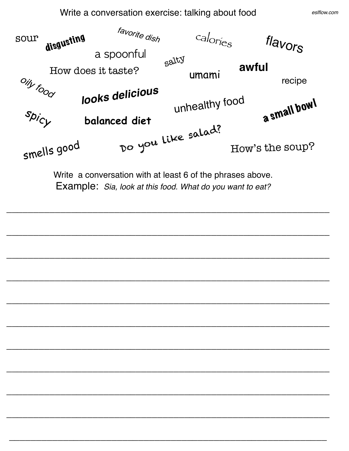Write a conversation exercise: talking about food

*eslflow.com*



*\_\_\_\_\_\_\_\_\_\_\_\_\_\_\_\_\_\_\_\_\_\_\_\_\_\_\_\_\_\_\_\_\_\_\_\_\_\_\_\_\_\_\_\_\_\_\_\_\_\_\_\_\_\_\_\_\_\_\_\_*

*\_\_\_\_\_\_\_\_\_\_\_\_\_\_\_\_\_\_\_\_\_\_\_\_\_\_\_\_\_\_\_\_\_\_\_\_\_\_\_\_\_\_\_\_\_\_\_\_\_\_\_\_\_\_\_\_\_\_\_\_*

*\_\_\_\_\_\_\_\_\_\_\_\_\_\_\_\_\_\_\_\_\_\_\_\_\_\_\_\_\_\_\_\_\_\_\_\_\_\_\_\_\_\_\_\_\_\_\_\_\_\_\_\_\_\_\_\_\_\_\_\_*

*\_\_\_\_\_\_\_\_\_\_\_\_\_\_\_\_\_\_\_\_\_\_\_\_\_\_\_\_\_\_\_\_\_\_\_\_\_\_\_\_\_\_\_\_\_\_\_\_\_\_\_\_\_\_\_\_\_\_\_\_*

*\_\_\_\_\_\_\_\_\_\_\_\_\_\_\_\_\_\_\_\_\_\_\_\_\_\_\_\_\_\_\_\_\_\_\_\_\_\_\_\_\_\_\_\_\_\_\_\_\_\_\_\_\_\_\_\_\_\_\_\_*

*\_\_\_\_\_\_\_\_\_\_\_\_\_\_\_\_\_\_\_\_\_\_\_\_\_\_\_\_\_\_\_\_\_\_\_\_\_\_\_\_\_\_\_\_\_\_\_\_\_\_\_\_\_\_\_\_\_\_\_\_*

*\_\_\_\_\_\_\_\_\_\_\_\_\_\_\_\_\_\_\_\_\_\_\_\_\_\_\_\_\_\_\_\_\_\_\_\_\_\_\_\_\_\_\_\_\_\_\_\_\_\_\_\_\_\_\_\_\_\_\_\_*

*\_\_\_\_\_\_\_\_\_\_\_\_\_\_\_\_\_\_\_\_\_\_\_\_\_\_\_\_\_\_\_\_\_\_\_\_\_\_\_\_\_\_\_\_\_\_\_\_\_\_\_\_\_\_\_\_\_\_\_\_*

*\_\_\_\_\_\_\_\_\_\_\_\_\_\_\_\_\_\_\_\_\_\_\_\_\_\_\_\_\_\_\_\_\_\_\_\_\_\_\_\_\_\_\_\_\_\_\_\_\_\_\_\_\_\_\_\_\_\_\_\_*

*\_\_\_\_\_\_\_\_\_\_\_\_\_\_\_\_\_\_\_\_\_\_\_\_\_\_\_\_\_\_\_\_\_\_\_\_\_\_\_\_\_\_\_\_\_\_\_\_\_\_\_\_\_\_\_\_\_\_\_*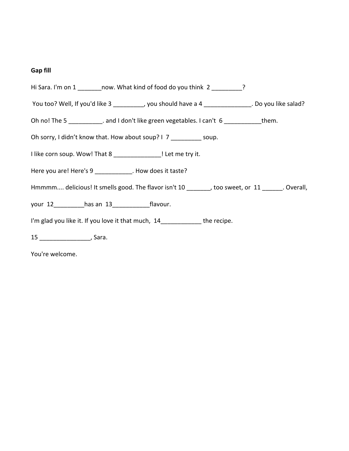## **Gap fill**

| Hi Sara. I'm on 1 _________ now. What kind of food do you think 2 __________?                    |
|--------------------------------------------------------------------------------------------------|
| You too? Well, If you'd like 3 _________, you should have a 4 ______________. Do you like salad? |
| Oh no! The 5 ____________. and I don't like green vegetables. I can't 6 ___________them.         |
| Oh sorry, I didn't know that. How about soup? I 7 __________ soup.                               |
| I like corn soup. Wow! That 8 _______________! Let me try it.                                    |
| Here you are! Here's 9 ___________. How does it taste?                                           |
| Hmmmm delicious! It smells good. The flavor isn't 10 _______, too sweet, or 11 ______. Overall,  |
| your 12 has an 13 flavour.                                                                       |
| I'm glad you like it. If you love it that much, 14 ____________ the recipe.                      |
|                                                                                                  |

You're welcome.